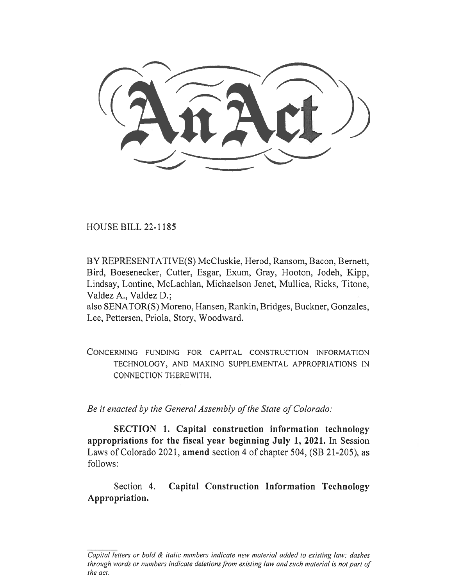HOUSE BILL 22-1185

BY REPRESENTATIVE(S) McCluskie, Herod, Ransom, Bacon, Bernett, Bird, Boesenecker, Cutter, Esgar, Exum, Gray, Hooton, Jodeh, Kipp, Lindsay, Lontine, McLachlan, Michaelson Jenet, Mullica, Ricks, Titone, Valdez A., Valdez D.;

also SENATOR(S) Moreno, Hansen, Rankin, Bridges, Buckner, Gonzales, Lee, Pettersen, Priola, Story, Woodward.

CONCERNING FUNDING FOR CAPITAL CONSTRUCTION INFORMATION TECHNOLOGY, AND MAKING SUPPLEMENTAL APPROPRIATIONS IN CONNECTION THEREWITH.

Be it enacted by the General Assembly of the State of Colorado:

SECTION 1. Capital construction information technology appropriations for the fiscal year beginning July 1, 2021. In Session Laws of Colorado 2021, amend section 4 of chapter 504, (SB 21-205). as follows:

Section 4. Capital Construction Information Technology Appropriation.

Capital letters or bold & italic numbers indicate new material added to existing law; dashes through words or numbers indicate deletions from existing law and such material is not part of the act.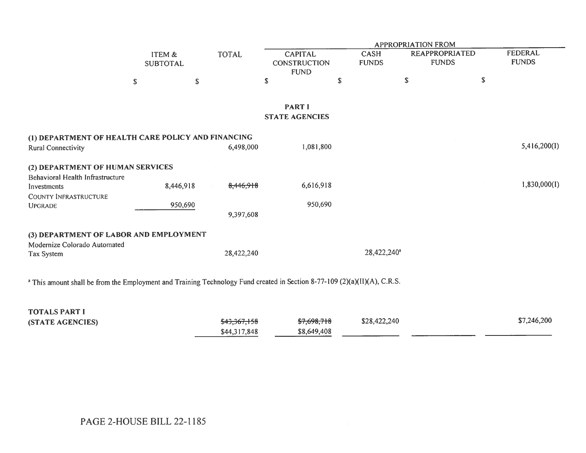|                                                    |                 |              | <b>APPROPRIATION FROM</b> |              |                         |                       |                                |  |  |
|----------------------------------------------------|-----------------|--------------|---------------------------|--------------|-------------------------|-----------------------|--------------------------------|--|--|
|                                                    | ITEM &          | <b>TOTAL</b> | <b>CAPITAL</b>            | CASH         |                         | <b>REAPPROPRIATED</b> | <b>FEDERAL</b><br><b>FUNDS</b> |  |  |
|                                                    | <b>SUBTOTAL</b> |              | CONSTRUCTION              | <b>FUNDS</b> |                         | <b>FUNDS</b>          |                                |  |  |
|                                                    |                 |              | <b>FUND</b>               |              |                         |                       |                                |  |  |
|                                                    | $\mathbb{S}$    | \$           | S                         | \$           | \$                      | \$                    |                                |  |  |
|                                                    |                 |              |                           |              |                         |                       |                                |  |  |
|                                                    |                 |              | <b>PART I</b>             |              |                         |                       |                                |  |  |
|                                                    |                 |              | <b>STATE AGENCIES</b>     |              |                         |                       |                                |  |  |
| (1) DEPARTMENT OF HEALTH CARE POLICY AND FINANCING |                 |              |                           |              |                         |                       |                                |  |  |
| <b>Rural Connectivity</b>                          |                 | 6,498,000    | 1,081,800                 |              |                         |                       | 5,416,200(I)                   |  |  |
| (2) DEPARTMENT OF HUMAN SERVICES                   |                 |              |                           |              |                         |                       |                                |  |  |
| Behavioral Health Infrastructure                   |                 |              |                           |              |                         |                       |                                |  |  |
| Investments                                        | 8,446,918       | 8,446,918    | 6,616,918                 |              |                         |                       | 1,830,000(1)                   |  |  |
| COUNTY INFRASTRUCTURE                              |                 |              |                           |              |                         |                       |                                |  |  |
| <b>UPGRADE</b>                                     | 950,690         |              | 950,690                   |              |                         |                       |                                |  |  |
|                                                    |                 | 9,397,608    |                           |              |                         |                       |                                |  |  |
| (3) DEPARTMENT OF LABOR AND EMPLOYMENT             |                 |              |                           |              |                         |                       |                                |  |  |
| Modernize Colorado Automated                       |                 |              |                           |              |                         |                       |                                |  |  |
| Tax System                                         |                 | 28,422,240   |                           |              | 28,422,240 <sup>a</sup> |                       |                                |  |  |
|                                                    |                 |              |                           |              |                         |                       |                                |  |  |
|                                                    |                 |              |                           |              |                         |                       |                                |  |  |

<sup>a</sup> This amount shall be from the Employment and Training Technology Fund created in Section 8-77-109 (2)(a)(II)(A), C.R.S.

| <b>TOTALS PART I</b> |                         |             |              |             |
|----------------------|-------------------------|-------------|--------------|-------------|
| (STATE AGENCIES)     | <del>\$43,367,158</del> | \$7,698,718 | \$28,422,240 | \$7,246,200 |
|                      | \$44,317,848            | \$8,649,408 |              |             |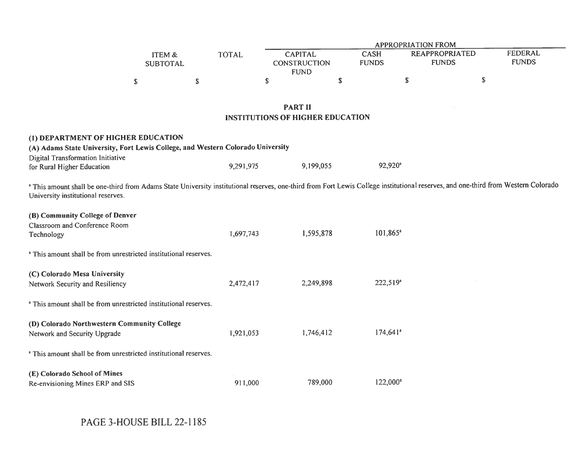|                                                                                                                                                                                    |                 |        |               |              | <b>APPROPRIATION FROM</b>               |                |               |                        |                |             |                |
|------------------------------------------------------------------------------------------------------------------------------------------------------------------------------------|-----------------|--------|---------------|--------------|-----------------------------------------|----------------|---------------|------------------------|----------------|-------------|----------------|
|                                                                                                                                                                                    |                 | ITEM & |               | <b>TOTAL</b> |                                         | <b>CAPITAL</b> |               | <b>CASH</b>            | REAPPROPRIATED |             | <b>FEDERAL</b> |
|                                                                                                                                                                                    | <b>SUBTOTAL</b> |        |               |              | <b>CONSTRUCTION</b><br><b>FUND</b>      |                | <b>FUNDS</b>  |                        | <b>FUNDS</b>   |             | <b>FUNDS</b>   |
|                                                                                                                                                                                    | $\mathbb S$     |        | ${\mathbb S}$ |              | \$                                      |                | ${\mathbb S}$ |                        | \$             | $\mathbb S$ |                |
|                                                                                                                                                                                    |                 |        |               |              |                                         |                |               |                        |                |             |                |
|                                                                                                                                                                                    |                 |        |               |              | <b>PART II</b>                          |                |               |                        |                |             |                |
|                                                                                                                                                                                    |                 |        |               |              | <b>INSTITUTIONS OF HIGHER EDUCATION</b> |                |               |                        |                |             |                |
| (1) DEPARTMENT OF HIGHER EDUCATION                                                                                                                                                 |                 |        |               |              |                                         |                |               |                        |                |             |                |
| (A) Adams State University, Fort Lewis College, and Western Colorado University                                                                                                    |                 |        |               |              |                                         |                |               |                        |                |             |                |
| Digital Transformation Initiative                                                                                                                                                  |                 |        |               |              |                                         |                |               |                        |                |             |                |
| for Rural Higher Education                                                                                                                                                         |                 |        |               | 9,291,975    |                                         | 9,199,055      |               | 92,920 <sup>a</sup>    |                |             |                |
| a This amount shall be one-third from Adams State University institutional reserves, one-third from Fort Lewis College institutional reserves, and one-third from Western Colorado |                 |        |               |              |                                         |                |               |                        |                |             |                |
| University institutional reserves.                                                                                                                                                 |                 |        |               |              |                                         |                |               |                        |                |             |                |
| (B) Community College of Denver                                                                                                                                                    |                 |        |               |              |                                         |                |               |                        |                |             |                |
| <b>Classroom and Conference Room</b>                                                                                                                                               |                 |        |               |              |                                         |                |               |                        |                |             |                |
| Technology                                                                                                                                                                         |                 |        |               | 1,697,743    |                                         | 1,595,878      |               | $101,865^a$            |                |             |                |
| <sup>a</sup> This amount shall be from unrestricted institutional reserves.                                                                                                        |                 |        |               |              |                                         |                |               |                        |                |             |                |
|                                                                                                                                                                                    |                 |        |               |              |                                         |                |               |                        |                |             |                |
| (C) Colorado Mesa University                                                                                                                                                       |                 |        |               |              |                                         |                |               |                        |                |             |                |
| Network Security and Resiliency                                                                                                                                                    |                 |        |               | 2,472,417    |                                         | 2,249,898      |               | 222,519 <sup>a</sup>   |                |             |                |
| <sup>a</sup> This amount shall be from unrestricted institutional reserves.                                                                                                        |                 |        |               |              |                                         |                |               |                        |                |             |                |
|                                                                                                                                                                                    |                 |        |               |              |                                         |                |               |                        |                |             |                |
| (D) Colorado Northwestern Community College                                                                                                                                        |                 |        |               |              |                                         |                |               |                        |                |             |                |
| Network and Security Upgrade                                                                                                                                                       |                 |        |               | 1,921,053    |                                         | 1,746,412      |               | $174,641$ <sup>a</sup> |                |             |                |
| <sup>a</sup> This amount shall be from unrestricted institutional reserves.                                                                                                        |                 |        |               |              |                                         |                |               |                        |                |             |                |
| (E) Colorado School of Mines                                                                                                                                                       |                 |        |               |              |                                         |                |               |                        |                |             |                |
| Re-envisioning Mines ERP and SIS                                                                                                                                                   |                 |        |               | 911,000      |                                         | 789,000        |               | $122,000^a$            |                |             |                |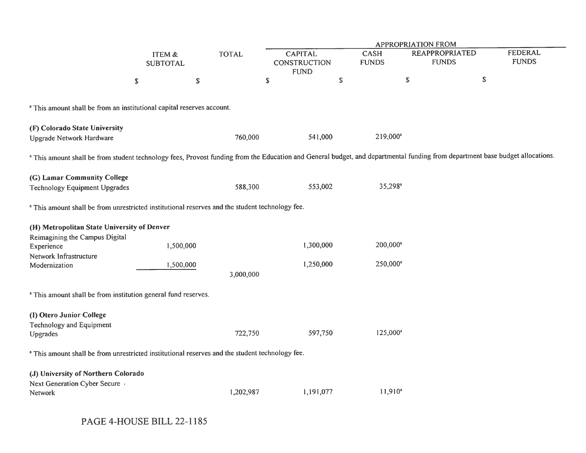|                                                                                                                                                                                          |                           |           |              | <b>APPROPRIATION FROM</b>                            |             |                             |                                       |                                |  |  |  |
|------------------------------------------------------------------------------------------------------------------------------------------------------------------------------------------|---------------------------|-----------|--------------|------------------------------------------------------|-------------|-----------------------------|---------------------------------------|--------------------------------|--|--|--|
|                                                                                                                                                                                          | ITEM &<br><b>SUBTOTAL</b> |           | <b>TOTAL</b> | <b>CAPITAL</b><br><b>CONSTRUCTION</b><br><b>FUND</b> |             | <b>CASH</b><br><b>FUNDS</b> | <b>REAPPROPRIATED</b><br><b>FUNDS</b> | <b>FEDERAL</b><br><b>FUNDS</b> |  |  |  |
|                                                                                                                                                                                          | \$                        | $\$$      |              | \$                                                   | $\mathbb S$ |                             | \$                                    | \$                             |  |  |  |
| a This amount shall be from an institutional capital reserves account.                                                                                                                   |                           |           |              |                                                      |             |                             |                                       |                                |  |  |  |
| (F) Colorado State University                                                                                                                                                            |                           |           |              |                                                      |             |                             |                                       |                                |  |  |  |
| Upgrade Network Hardware                                                                                                                                                                 |                           |           | 760,000      | 541,000                                              |             | 219,000 <sup>a</sup>        |                                       |                                |  |  |  |
| <sup>a</sup> This amount shall be from student technology fees, Provost funding from the Education and General budget, and departmental funding from department base budget allocations. |                           |           |              |                                                      |             |                             |                                       |                                |  |  |  |
| (G) Lamar Community College                                                                                                                                                              |                           |           |              |                                                      |             |                             |                                       |                                |  |  |  |
| <b>Technology Equipment Upgrades</b>                                                                                                                                                     |                           |           | 588,300      | 553,002                                              |             | 35,298 <sup>a</sup>         |                                       |                                |  |  |  |
| <sup>a</sup> This amount shall be from unrestricted institutional reserves and the student technology fee.                                                                               |                           |           |              |                                                      |             |                             |                                       |                                |  |  |  |
| (H) Metropolitan State University of Denver                                                                                                                                              |                           |           |              |                                                      |             |                             |                                       |                                |  |  |  |
| Reimagining the Campus Digital<br>Experience                                                                                                                                             |                           | 1,500,000 |              | 1,300,000                                            |             | 200,000 <sup>a</sup>        |                                       |                                |  |  |  |
| Network Infrastructure                                                                                                                                                                   |                           | 1,500,000 |              | 1,250,000                                            |             | 250,000 <sup>a</sup>        |                                       |                                |  |  |  |
| Modernization                                                                                                                                                                            |                           |           | 3,000,000    |                                                      |             |                             |                                       |                                |  |  |  |
| <sup>a</sup> This amount shall be from institution general fund reserves.                                                                                                                |                           |           |              |                                                      |             |                             |                                       |                                |  |  |  |
| (I) Otero Junior College                                                                                                                                                                 |                           |           |              |                                                      |             |                             |                                       |                                |  |  |  |
| Technology and Equipment                                                                                                                                                                 |                           |           | 722,750      | 597,750                                              |             | $125,000^a$                 |                                       |                                |  |  |  |
| Upgrades                                                                                                                                                                                 |                           |           |              |                                                      |             |                             |                                       |                                |  |  |  |
| <sup>a</sup> This amount shall be from unrestricted institutional reserves and the student technology fee.                                                                               |                           |           |              |                                                      |             |                             |                                       |                                |  |  |  |
| (J) University of Northern Colorado                                                                                                                                                      |                           |           |              |                                                      |             |                             |                                       |                                |  |  |  |
| Next Generation Cyber Secure .<br>Network                                                                                                                                                |                           |           | 1,202,987    | 1,191,077                                            |             | $11,910^a$                  |                                       |                                |  |  |  |
|                                                                                                                                                                                          |                           |           |              |                                                      |             |                             |                                       |                                |  |  |  |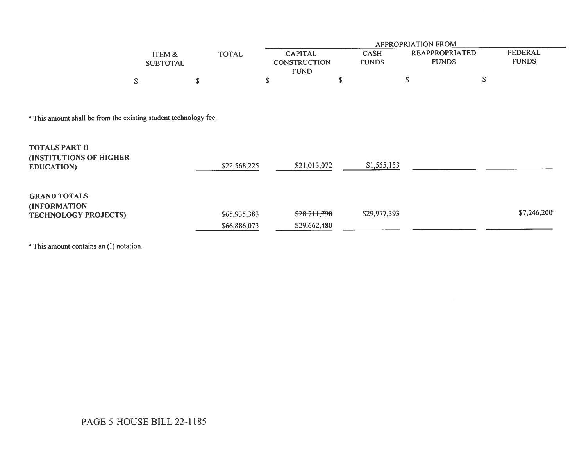|                                                                                |                           |                              | APPROPRIATION FROM                            |                             |                                       |                           |  |  |  |
|--------------------------------------------------------------------------------|---------------------------|------------------------------|-----------------------------------------------|-----------------------------|---------------------------------------|---------------------------|--|--|--|
|                                                                                | ITEM &<br><b>SUBTOTAL</b> | <b>TOTAL</b>                 | <b>CAPITAL</b><br>CONSTRUCTION<br><b>FUND</b> | <b>CASH</b><br><b>FUNDS</b> | <b>REAPPROPRIATED</b><br><b>FUNDS</b> | FEDERAL<br><b>FUNDS</b>   |  |  |  |
|                                                                                | S                         | S                            | \$                                            | S                           | S<br>S                                |                           |  |  |  |
|                                                                                |                           |                              |                                               |                             |                                       |                           |  |  |  |
| <sup>a</sup> This amount shall be from the existing student technology fee.    |                           |                              |                                               |                             |                                       |                           |  |  |  |
| <b>TOTALS PART II</b><br><b>(INSTITUTIONS OF HIGHER)</b><br><b>EDUCATION</b> ) |                           | \$22,568,225                 | \$21,013,072                                  | \$1,555,153                 |                                       |                           |  |  |  |
| <b>GRAND TOTALS</b><br>(INFORMATION<br><b>TECHNOLOGY PROJECTS)</b>             |                           | \$65,935,383<br>\$66,886,073 | \$28,711,790<br>\$29,662,480                  | \$29,977,393                |                                       | $$7,246,200$ <sup>a</sup> |  |  |  |

<sup>a</sup> This amount contains an (I) notation.